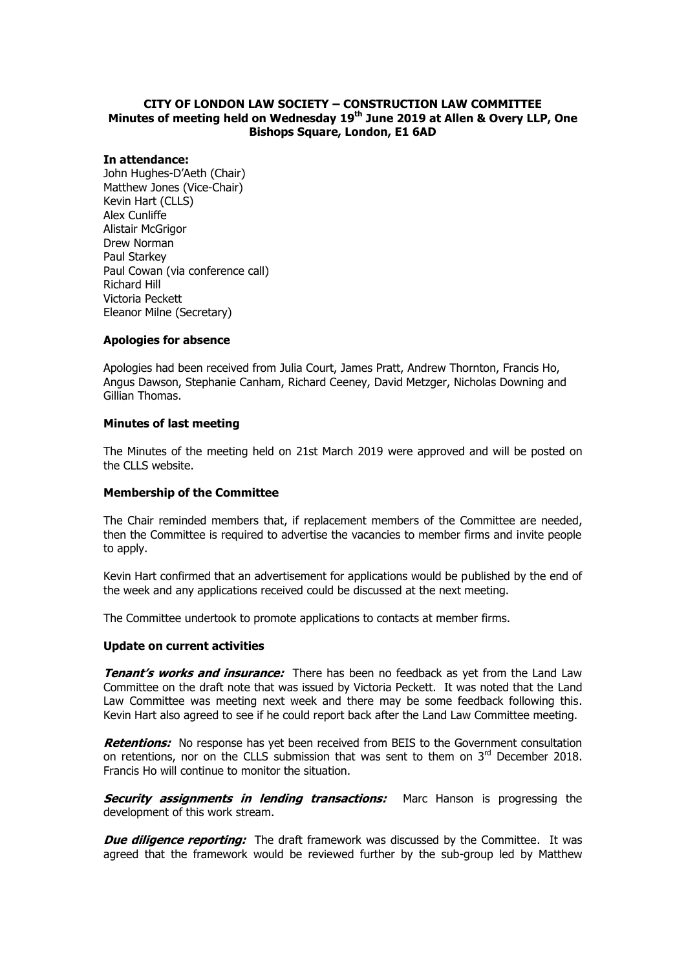# **CITY OF LONDON LAW SOCIETY – CONSTRUCTION LAW COMMITTEE Minutes of meeting held on Wednesday 19th June 2019 at Allen & Overy LLP, One Bishops Square, London, E1 6AD**

## **In attendance:**

John Hughes-D'Aeth (Chair) Matthew Jones (Vice-Chair) Kevin Hart (CLLS) Alex Cunliffe Alistair McGrigor Drew Norman Paul Starkey Paul Cowan (via conference call) Richard Hill Victoria Peckett Eleanor Milne (Secretary)

#### **Apologies for absence**

Apologies had been received from Julia Court, James Pratt, Andrew Thornton, Francis Ho, Angus Dawson, Stephanie Canham, Richard Ceeney, David Metzger, Nicholas Downing and Gillian Thomas.

#### **Minutes of last meeting**

The Minutes of the meeting held on 21st March 2019 were approved and will be posted on the CLLS website.

#### **Membership of the Committee**

The Chair reminded members that, if replacement members of the Committee are needed, then the Committee is required to advertise the vacancies to member firms and invite people to apply.

Kevin Hart confirmed that an advertisement for applications would be published by the end of the week and any applications received could be discussed at the next meeting.

The Committee undertook to promote applications to contacts at member firms.

#### **Update on current activities**

**Tenant's works and insurance:** There has been no feedback as yet from the Land Law Committee on the draft note that was issued by Victoria Peckett. It was noted that the Land Law Committee was meeting next week and there may be some feedback following this. Kevin Hart also agreed to see if he could report back after the Land Law Committee meeting.

**Retentions:** No response has yet been received from BEIS to the Government consultation on retentions, nor on the CLLS submission that was sent to them on  $3<sup>rd</sup>$  December 2018. Francis Ho will continue to monitor the situation.

**Security assignments in lending transactions:** Marc Hanson is progressing the development of this work stream.

*Due diligence reporting:* The draft framework was discussed by the Committee. It was agreed that the framework would be reviewed further by the sub-group led by Matthew